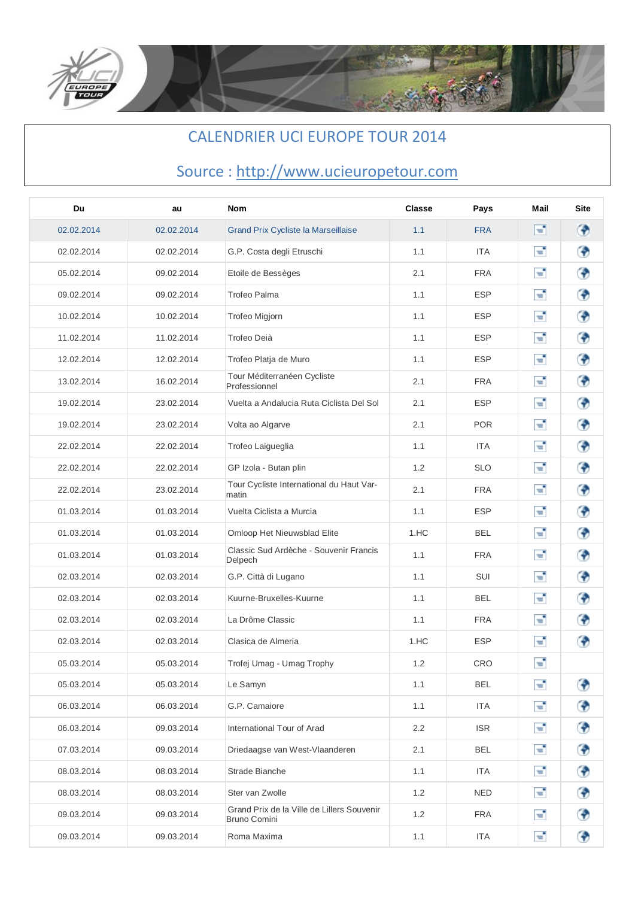

## CALENDRIER UCI EUROPE TOUR 2014

## Source : http://www.ucieuropetour.com

| Du         | au         | <b>Nom</b>                                                        | <b>Classe</b>    | Pays       | Mail | <b>Site</b> |
|------------|------------|-------------------------------------------------------------------|------------------|------------|------|-------------|
| 02.02.2014 | 02.02.2014 | <b>Grand Prix Cycliste la Marseillaise</b>                        | 1.1              | <b>FRA</b> | F.   | ⊛           |
| 02.02.2014 | 02.02.2014 | G.P. Costa degli Etruschi                                         | 1.1              | <b>ITA</b> | E,   | ⊕           |
| 05.02.2014 | 09.02.2014 | Etoile de Bessèges                                                | 2.1              | <b>FRA</b> | Г.   | ⊕           |
| 09.02.2014 | 09.02.2014 | Trofeo Palma                                                      | 1.1              | <b>ESP</b> | Т,   | ⊕           |
| 10.02.2014 | 10.02.2014 | Trofeo Migjorn                                                    | 1.1              | <b>ESP</b> | т,   | ⊕           |
| 11.02.2014 | 11.02.2014 | Trofeo Deià                                                       | 1.1              | <b>ESP</b> | т,   | ⊕           |
| 12.02.2014 | 12.02.2014 | Trofeo Platja de Muro                                             | 1.1              | <b>ESP</b> | Т,   | ♦           |
| 13.02.2014 | 16.02.2014 | Tour Méditerranéen Cycliste<br>Professionnel                      | 2.1              | <b>FRA</b> | Т,   | ⊕           |
| 19.02.2014 | 23.02.2014 | Vuelta a Andalucia Ruta Ciclista Del Sol                          | 2.1              | <b>ESP</b> | E,   | ♦           |
| 19.02.2014 | 23.02.2014 | Volta ao Algarve                                                  | 2.1              | <b>POR</b> | Т,   | ♦           |
| 22.02.2014 | 22.02.2014 | Trofeo Laigueglia                                                 | 1.1              | <b>ITA</b> | Т,   | ⊕           |
| 22.02.2014 | 22.02.2014 | GP Izola - Butan plin                                             | 1.2              | <b>SLO</b> | E,   | ♦           |
| 22.02.2014 | 23.02.2014 | Tour Cycliste International du Haut Var-<br>matin                 | 2.1              | <b>FRA</b> | Т,   | ♦           |
| 01.03.2014 | 01.03.2014 | Vuelta Ciclista a Murcia                                          | 1.1              | <b>ESP</b> | Т,   | ⊕           |
| 01.03.2014 | 01.03.2014 | Omloop Het Nieuwsblad Elite                                       | 1.HC             | <b>BEL</b> | Т,   | ⊕           |
| 01.03.2014 | 01.03.2014 | Classic Sud Ardèche - Souvenir Francis<br>Delpech                 | 1.1              | <b>FRA</b> | Т,   | ⊕           |
| 02.03.2014 | 02.03.2014 | G.P. Città di Lugano                                              | 1.1              | SUI        | Т,   | ⊕           |
| 02.03.2014 | 02.03.2014 | Kuurne-Bruxelles-Kuurne                                           | 1.1              | BEL        | Т,   | ◈           |
| 02.03.2014 | 02.03.2014 | La Drôme Classic                                                  | 1.1              | <b>FRA</b> | Т,   | ⊕           |
| 02.03.2014 | 02.03.2014 | Clasica de Almeria                                                | 1.HC             | <b>ESP</b> | Т,   | ⊕           |
| 05.03.2014 | 05.03.2014 | Trofej Umag - Umag Trophy                                         | 1.2              | CRO        | Т,   |             |
| 05.03.2014 | 05.03.2014 | Le Samyn                                                          | 1.1              | <b>BEL</b> | E,   | ⊕           |
| 06.03.2014 | 06.03.2014 | G.P. Camaiore                                                     | 1.1              | <b>ITA</b> | Г.   | ♦           |
| 06.03.2014 | 09.03.2014 | International Tour of Arad                                        | $2.2\phantom{0}$ | <b>ISR</b> | E,   | ♦           |
| 07.03.2014 | 09.03.2014 | Driedaagse van West-Vlaanderen                                    | 2.1              | <b>BEL</b> | F.   | ◈           |
| 08.03.2014 | 08.03.2014 | Strade Bianche                                                    | 1.1              | ITA        | Г.   | ⊕           |
| 08.03.2014 | 08.03.2014 | Ster van Zwolle                                                   | 1.2              | <b>NED</b> | E,   | ♦           |
| 09.03.2014 | 09.03.2014 | Grand Prix de la Ville de Lillers Souvenir<br><b>Bruno Comini</b> | 1.2              | <b>FRA</b> | Г.   | ♦           |
| 09.03.2014 | 09.03.2014 | Roma Maxima                                                       | 1.1              | <b>ITA</b> | F.   | ♦           |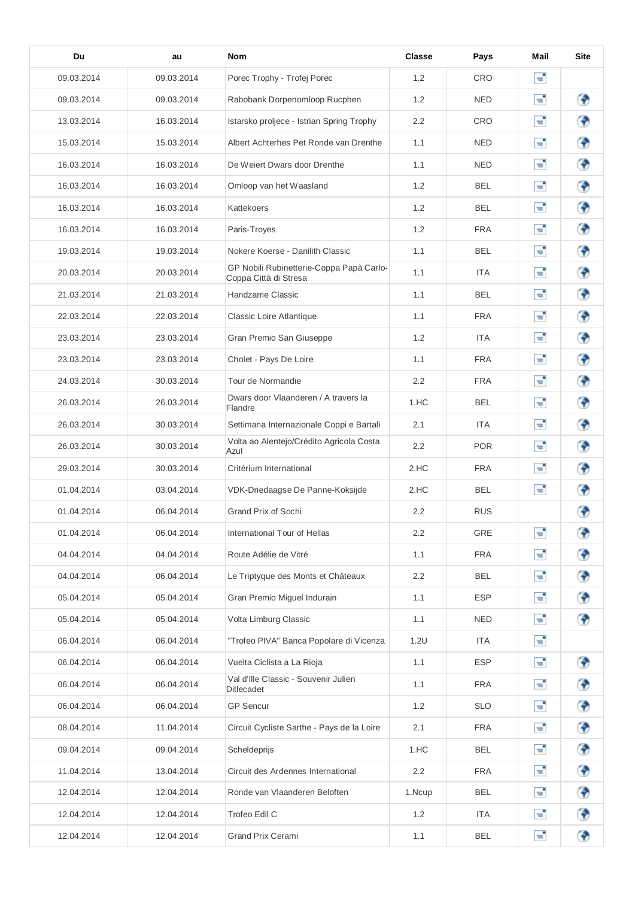| Du         | au         | <b>Nom</b>                                                        | Classe | Pays       | Mail | <b>Site</b> |
|------------|------------|-------------------------------------------------------------------|--------|------------|------|-------------|
| 09.03.2014 | 09.03.2014 | Porec Trophy - Trofej Porec                                       | 1.2    | CRO        | Т,   |             |
| 09.03.2014 | 09.03.2014 | Rabobank Dorpenomloop Rucphen                                     | 1.2    | <b>NED</b> | F.   | ⊕           |
| 13.03.2014 | 16.03.2014 | Istarsko proljece - Istrian Spring Trophy                         | 2.2    | CRO        | т,   | €           |
| 15.03.2014 | 15.03.2014 | Albert Achterhes Pet Ronde van Drenthe                            | 1.1    | <b>NED</b> | e,   | ⊕           |
| 16.03.2014 | 16.03.2014 | De Weiert Dwars door Drenthe                                      | 1.1    | NED        | Т,   | ⊕           |
| 16.03.2014 | 16.03.2014 | Omloop van het Waasland                                           | 1.2    | <b>BEL</b> | F.   | ⊕           |
| 16.03.2014 | 16.03.2014 | Kattekoers                                                        | 1.2    | <b>BEL</b> | ਦ    | ⊕           |
| 16.03.2014 | 16.03.2014 | Paris-Troyes                                                      | 1.2    | <b>FRA</b> | F.   | ⊕           |
| 19.03.2014 | 19.03.2014 | Nokere Koerse - Danilith Classic                                  | 1.1    | <b>BEL</b> | е,   | €           |
| 20.03.2014 | 20.03.2014 | GP Nobili Rubinetterie-Coppa Papà Carlo-<br>Coppa Città di Stresa | 1.1    | <b>ITA</b> | F.   | ⊕           |
| 21.03.2014 | 21.03.2014 | Handzame Classic                                                  | 1.1    | <b>BEL</b> | Т,   | ⊕           |
| 22.03.2014 | 22.03.2014 | <b>Classic Loire Atlantique</b>                                   | 1.1    | <b>FRA</b> | чf,  | ⊕           |
| 23.03.2014 | 23.03.2014 | Gran Premio San Giuseppe                                          | 1.2    | <b>ITA</b> | F.   | ⊕           |
| 23.03.2014 | 23.03.2014 | Cholet - Pays De Loire                                            | 1.1    | <b>FRA</b> | F.   | ⊕           |
| 24.03.2014 | 30.03.2014 | Tour de Normandie                                                 | 2.2    | <b>FRA</b> | ਵੰ   | ⊕           |
| 26.03.2014 | 26.03.2014 | Dwars door Vlaanderen / A travers la<br>Flandre                   | 1.HC   | <b>BEL</b> | п.   | ⊕           |
| 26.03.2014 | 30.03.2014 | Settimana Internazionale Coppi e Bartali                          | 2.1    | <b>ITA</b> | F.   | ⊕           |
| 26.03.2014 | 30.03.2014 | Volta ao Alentejo/Crédito Agricola Costa<br>Azul                  | 2.2    | POR        | F.   | ⊕           |
| 29.03.2014 | 30.03.2014 | Critérium International                                           | 2.HC   | <b>FRA</b> | Ŧ.   | ⊕           |
| 01.04.2014 | 03.04.2014 | VDK-Driedaagse De Panne-Koksijde                                  | 2.HC   | <b>BEL</b> | Т,   | ⊕           |
| 01.04.2014 | 06.04.2014 | Grand Prix of Sochi                                               | 2.2    | <b>RUS</b> |      | ⊕           |
| 01.04.2014 | 06.04.2014 | International Tour of Hellas                                      | 2.2    | GRE        | E,   | ⊕           |
| 04.04.2014 | 04.04.2014 | Route Adélie de Vitré                                             | 1.1    | <b>FRA</b> | E,   | ♦           |
| 04.04.2014 | 06.04.2014 | Le Triptyque des Monts et Châteaux                                | 2.2    | <b>BEL</b> | Г.   | ♦           |
| 05.04.2014 | 05.04.2014 | Gran Premio Miguel Indurain                                       | 1.1    | <b>ESP</b> | F.   | ♦           |
| 05.04.2014 | 05.04.2014 | Volta Limburg Classic                                             | 1.1    | <b>NED</b> | F.   | ⊕           |
| 06.04.2014 | 06.04.2014 | "Trofeo PIVA" Banca Popolare di Vicenza                           | 1.2U   | <b>ITA</b> | Г.   |             |
| 06.04.2014 | 06.04.2014 | Vuelta Ciclista a La Rioja                                        | 1.1    | <b>ESP</b> | E,   | ♦           |
| 06.04.2014 | 06.04.2014 | Val d'Ille Classic - Souvenir Julien<br>Ditlecadet                | 1.1    | <b>FRA</b> | F.   | ♦           |
| 06.04.2014 | 06.04.2014 | <b>GP</b> Sencur                                                  | 1.2    | <b>SLO</b> | Г.   | ♦           |
| 08.04.2014 | 11.04.2014 | Circuit Cycliste Sarthe - Pays de la Loire                        | 2.1    | <b>FRA</b> | Г.   | ♦           |
| 09.04.2014 | 09.04.2014 | Scheldeprijs                                                      | 1.HC   | <b>BEL</b> | F.   | ♦           |
| 11.04.2014 | 13.04.2014 | Circuit des Ardennes International                                | 2.2    | <b>FRA</b> | F.   | ♦           |
| 12.04.2014 | 12.04.2014 | Ronde van Vlaanderen Beloften                                     | 1.Ncup | <b>BEL</b> | Г.   | ♦           |
| 12.04.2014 | 12.04.2014 | Trofeo Edil C                                                     | 1.2    | <b>ITA</b> | Г.   | ♦           |
| 12.04.2014 | 12.04.2014 | Grand Prix Cerami                                                 | 1.1    | <b>BEL</b> | F,   | ♦           |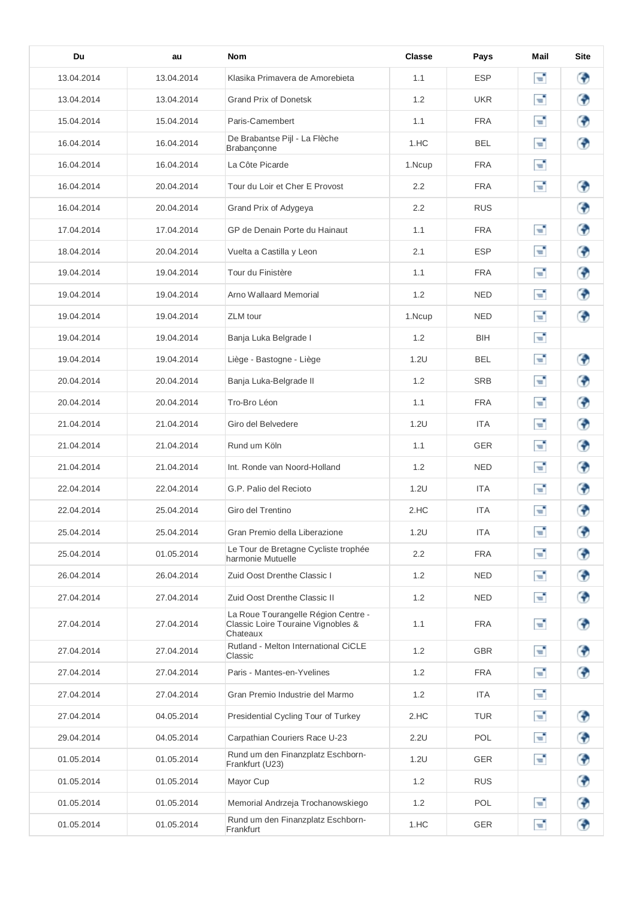| Du         | au         | <b>Nom</b>                                                                            | <b>Classe</b> | Pays       | Mail | <b>Site</b> |
|------------|------------|---------------------------------------------------------------------------------------|---------------|------------|------|-------------|
| 13.04.2014 | 13.04.2014 | Klasika Primavera de Amorebieta                                                       | 1.1           | <b>ESP</b> | E,   | ⊕           |
| 13.04.2014 | 13.04.2014 | <b>Grand Prix of Donetsk</b>                                                          | 1.2           | <b>UKR</b> | Т,   | ⊕           |
| 15.04.2014 | 15.04.2014 | Paris-Camembert                                                                       | 1.1           | <b>FRA</b> | F.   | ⊕           |
| 16.04.2014 | 16.04.2014 | De Brabantse Pijl - La Flèche<br>Brabançonne                                          | 1.HC          | <b>BEL</b> | Т,   | ◈           |
| 16.04.2014 | 16.04.2014 | La Côte Picarde                                                                       | 1.Ncup        | <b>FRA</b> | Г.   |             |
| 16.04.2014 | 20.04.2014 | Tour du Loir et Cher E Provost                                                        | 2.2           | <b>FRA</b> | F.   | ◈           |
| 16.04.2014 | 20.04.2014 | Grand Prix of Adygeya                                                                 | 2.2           | <b>RUS</b> |      | ⊕           |
| 17.04.2014 | 17.04.2014 | GP de Denain Porte du Hainaut                                                         | 1.1           | <b>FRA</b> | Г.   | ◈           |
| 18.04.2014 | 20.04.2014 | Vuelta a Castilla y Leon                                                              | 2.1           | <b>ESP</b> | Г.   | ♦           |
| 19.04.2014 | 19.04.2014 | Tour du Finistère                                                                     | 1.1           | <b>FRA</b> | Т,   | ♦           |
| 19.04.2014 | 19.04.2014 | Arno Wallaard Memorial                                                                | 1.2           | <b>NED</b> | F.   | ⊕           |
| 19.04.2014 | 19.04.2014 | <b>ZLM</b> tour                                                                       | 1.Ncup        | <b>NED</b> | E,   | ⊕           |
| 19.04.2014 | 19.04.2014 | Banja Luka Belgrade I                                                                 | 1.2           | BIH        | Г.   |             |
| 19.04.2014 | 19.04.2014 | Liège - Bastogne - Liège                                                              | 1.2U          | BEL        | F.   | ◈           |
| 20.04.2014 | 20.04.2014 | Banja Luka-Belgrade II                                                                | 1.2           | <b>SRB</b> | E,   | ◈           |
| 20.04.2014 | 20.04.2014 | Tro-Bro Léon                                                                          | 1.1           | <b>FRA</b> | F.   | ⊕           |
| 21.04.2014 | 21.04.2014 | Giro del Belvedere                                                                    | 1.2U          | <b>ITA</b> | Г.   | ⊕           |
| 21.04.2014 | 21.04.2014 | Rund um Köln                                                                          | 1.1           | <b>GER</b> | Г.   | ⊕           |
| 21.04.2014 | 21.04.2014 | Int. Ronde van Noord-Holland                                                          | 1.2           | <b>NED</b> | Т,   | ⊕           |
| 22.04.2014 | 22.04.2014 | G.P. Palio del Recioto                                                                | 1.2U          | ITA        | Т,   | ⊕           |
| 22.04.2014 | 25.04.2014 | Giro del Trentino                                                                     | 2.HC          | <b>ITA</b> | F.   | ⊕           |
| 25.04.2014 | 25.04.2014 | Gran Premio della Liberazione                                                         | 1.2U          | <b>ITA</b> | E,   | ⊕           |
| 25.04.2014 | 01.05.2014 | Le Tour de Bretagne Cycliste trophée<br>harmonie Mutuelle                             | 2.2           | <b>FRA</b> | ď    | ◈           |
| 26.04.2014 | 26.04.2014 | Zuid Oost Drenthe Classic I                                                           | 1.2           | <b>NED</b> | F.   | ⊕           |
| 27.04.2014 | 27.04.2014 | Zuid Oost Drenthe Classic II                                                          | 1.2           | NED        | Т,   | ⊕           |
| 27.04.2014 | 27.04.2014 | La Roue Tourangelle Région Centre -<br>Classic Loire Touraine Vignobles &<br>Chateaux | 1.1           | <b>FRA</b> | Т,   | ⊕           |
| 27.04.2014 | 27.04.2014 | Rutland - Melton International CiCLE<br>Classic                                       | 1.2           | <b>GBR</b> | Г.   | ⊕           |
| 27.04.2014 | 27.04.2014 | Paris - Mantes-en-Yvelines                                                            | 1.2           | FRA        | Т,   | ⊕           |
| 27.04.2014 | 27.04.2014 | Gran Premio Industrie del Marmo                                                       | 1.2           | <b>ITA</b> | Т,   |             |
| 27.04.2014 | 04.05.2014 | Presidential Cycling Tour of Turkey                                                   | 2.HC          | <b>TUR</b> | Т,   | ⊕           |
| 29.04.2014 | 04.05.2014 | Carpathian Couriers Race U-23                                                         | 2.2U          | POL        | Т,   | ⊕           |
| 01.05.2014 | 01.05.2014 | Rund um den Finanzplatz Eschborn-<br>Frankfurt (U23)                                  | 1.2U          | <b>GER</b> | F.   | ♦           |
| 01.05.2014 | 01.05.2014 | Mayor Cup                                                                             | 1.2           | <b>RUS</b> |      | ⊕           |
| 01.05.2014 | 01.05.2014 | Memorial Andrzeja Trochanowskiego                                                     | 1.2           | <b>POL</b> | Т,   | ⊕           |
| 01.05.2014 | 01.05.2014 | Rund um den Finanzplatz Eschborn-<br>Frankfurt                                        | 1.HC          | GER        | F.   | ♦           |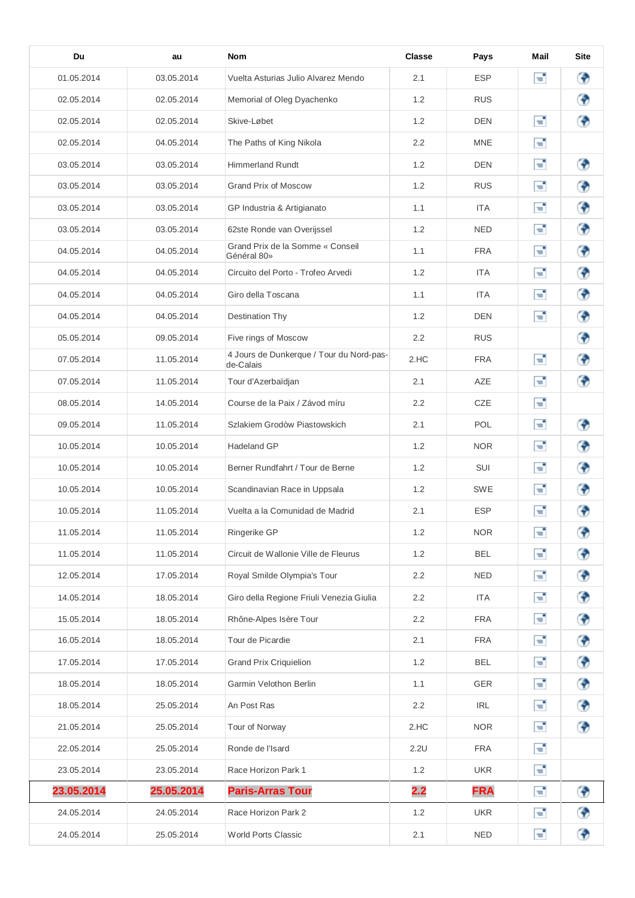| Du         | au         | <b>Nom</b>                                            | <b>Classe</b> | Pays       | Mail | <b>Site</b> |
|------------|------------|-------------------------------------------------------|---------------|------------|------|-------------|
| 01.05.2014 | 03.05.2014 | Vuelta Asturias Julio Alvarez Mendo                   | 2.1           | <b>ESP</b> | E,   | ⊕           |
| 02.05.2014 | 02.05.2014 | Memorial of Oleg Dyachenko                            | 1.2           | <b>RUS</b> |      | ⊕           |
| 02.05.2014 | 02.05.2014 | Skive-Løbet                                           | 1.2           | <b>DEN</b> | т,   | ⊕           |
| 02.05.2014 | 04.05.2014 | The Paths of King Nikola                              | 2.2           | <b>MNE</b> | Т,   |             |
| 03.05.2014 | 03.05.2014 | <b>Himmerland Rundt</b>                               | 1.2           | <b>DEN</b> | Т,   | ⊕           |
| 03.05.2014 | 03.05.2014 | <b>Grand Prix of Moscow</b>                           | 1.2           | <b>RUS</b> | E,   | ⊕           |
| 03.05.2014 | 03.05.2014 | GP Industria & Artigianato                            | 1.1           | <b>ITA</b> | E,   | ⊕           |
| 03.05.2014 | 03.05.2014 | 62ste Ronde van Overijssel                            | 1.2           | <b>NED</b> | Т,   | ◈           |
| 04.05.2014 | 04.05.2014 | Grand Prix de la Somme « Conseil<br>Général 80»       | 1.1           | <b>FRA</b> | E,   | ⊕           |
| 04.05.2014 | 04.05.2014 | Circuito del Porto - Trofeo Arvedi                    | 1.2           | <b>ITA</b> | E,   | ⊕           |
| 04.05.2014 | 04.05.2014 | Giro della Toscana                                    | 1.1           | <b>ITA</b> | E    | ⊕           |
| 04.05.2014 | 04.05.2014 | Destination Thy                                       | 1.2           | <b>DEN</b> | ਵੰ   | ⊕           |
| 05.05.2014 | 09.05.2014 | Five rings of Moscow                                  | 2.2           | <b>RUS</b> |      | ◈           |
| 07.05.2014 | 11.05.2014 | 4 Jours de Dunkerque / Tour du Nord-pas-<br>de-Calais | 2.HC          | <b>FRA</b> | Т,   | ⊕           |
| 07.05.2014 | 11.05.2014 | Tour d'Azerbaïdjan                                    | 2.1           | AZE        | E,   | ◈           |
| 08.05.2014 | 14.05.2014 | Course de la Paix / Závod míru                        | 2.2           | <b>CZE</b> | E,   |             |
| 09.05.2014 | 11.05.2014 | Szlakiem Grodòw Piastowskich                          | 2.1           | <b>POL</b> | E,   | ◈           |
| 10.05.2014 | 10.05.2014 | Hadeland GP                                           | 1.2           | <b>NOR</b> | Т,   | ⊕           |
| 10.05.2014 | 10.05.2014 | Berner Rundfahrt / Tour de Berne                      | 1.2           | SUI        | ÷,   | ⊕           |
| 10.05.2014 | 10.05.2014 | Scandinavian Race in Uppsala                          | 1.2           | <b>SWE</b> | е    | ⊕           |
| 10.05.2014 | 11.05.2014 | Vuelta a la Comunidad de Madrid                       | 2.1           | <b>ESP</b> | ÷,   | ⊕           |
| 11.05.2014 | 11.05.2014 | Ringerike GP                                          | 1.2           | <b>NOR</b> | E    | ◈           |
| 11.05.2014 | 11.05.2014 | Circuit de Wallonie Ville de Fleurus                  | 1.2           | <b>BEL</b> | E,   | ⊕           |
| 12.05.2014 | 17.05.2014 | Royal Smilde Olympia's Tour                           | 2.2           | <b>NED</b> | F.   | ♦           |
| 14.05.2014 | 18.05.2014 | Giro della Regione Friuli Venezia Giulia              | 2.2           | ITA        | F.   | ⊕           |
| 15.05.2014 | 18.05.2014 | Rhône-Alpes Isère Tour                                | 2.2           | <b>FRA</b> | Г.   | ⊕           |
| 16.05.2014 | 18.05.2014 | Tour de Picardie                                      | 2.1           | <b>FRA</b> | E,   | ♦           |
| 17.05.2014 | 17.05.2014 | <b>Grand Prix Criquielion</b>                         | 1.2           | <b>BEL</b> | E,   | ⊕           |
| 18.05.2014 | 18.05.2014 | Garmin Velothon Berlin                                | 1.1           | <b>GER</b> | E,   | ⊕           |
| 18.05.2014 | 25.05.2014 | An Post Ras                                           | 2.2           | <b>IRL</b> | п,   | ♦           |
| 21.05.2014 | 25.05.2014 | Tour of Norway                                        | 2.HC          | <b>NOR</b> | F,   | ⊕           |
| 22.05.2014 | 25.05.2014 | Ronde de l'Isard                                      | 2.2U          | <b>FRA</b> | E,   |             |
| 23.05.2014 | 23.05.2014 | Race Horizon Park 1                                   | 1.2           | <b>UKR</b> | п,   |             |
| 23.05.2014 | 25.05.2014 | <b>Paris-Arras Tour</b>                               | 2.2           | <b>FRA</b> | E,   | ⊕           |
| 24.05.2014 | 24.05.2014 | Race Horizon Park 2                                   | 1.2           | <b>UKR</b> | E,   | ⊕           |
| 24.05.2014 | 25.05.2014 | World Ports Classic                                   | 2.1           | <b>NED</b> | E,   | ⊕           |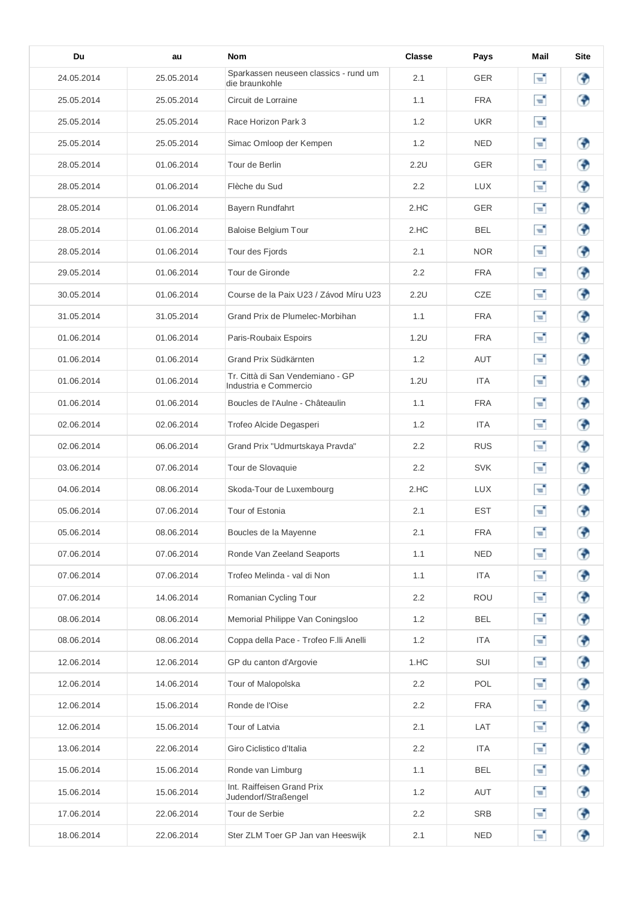| Du         | au         | <b>Nom</b>                                                | Classe           | Pays       | Mail     | <b>Site</b> |
|------------|------------|-----------------------------------------------------------|------------------|------------|----------|-------------|
| 24.05.2014 | 25.05.2014 | Sparkassen neuseen classics - rund um<br>die braunkohle   | 2.1              | <b>GER</b> | F.       | ⊕           |
| 25.05.2014 | 25.05.2014 | Circuit de Lorraine                                       | 1.1              | <b>FRA</b> | F.       | ⊕           |
| 25.05.2014 | 25.05.2014 | Race Horizon Park 3                                       | 1.2              | <b>UKR</b> | Т,       |             |
| 25.05.2014 | 25.05.2014 | Simac Omloop der Kempen                                   | 1.2              | NED        | т,       | ⊕           |
| 28.05.2014 | 01.06.2014 | Tour de Berlin                                            | 2.2U             | <b>GER</b> | Т,       | ⊕           |
| 28.05.2014 | 01.06.2014 | Flèche du Sud                                             | 2.2              | <b>LUX</b> | т,       | ⊕           |
| 28.05.2014 | 01.06.2014 | Bayern Rundfahrt                                          | 2.HC             | <b>GER</b> | Т,       | ◈           |
| 28.05.2014 | 01.06.2014 | <b>Baloise Belgium Tour</b>                               | 2.HC             | <b>BEL</b> | Г.       | ⊕           |
| 28.05.2014 | 01.06.2014 | Tour des Fjords                                           | 2.1              | <b>NOR</b> | Т,       | ⊕           |
| 29.05.2014 | 01.06.2014 | Tour de Gironde                                           | 2.2              | <b>FRA</b> | ਵ        | ⊕           |
| 30.05.2014 | 01.06.2014 | Course de la Paix U23 / Závod Míru U23                    | 2.2U             | CZE        | Т,       | ⊕           |
| 31.05.2014 | 31.05.2014 | Grand Prix de Plumelec-Morbihan                           | 1.1              | <b>FRA</b> | E,       | ⊕           |
| 01.06.2014 | 01.06.2014 | Paris-Roubaix Espoirs                                     | 1.2U             | <b>FRA</b> | F.       | ◈           |
| 01.06.2014 | 01.06.2014 | Grand Prix Südkärnten                                     | 1.2              | <b>AUT</b> | Т,       | ⊕           |
| 01.06.2014 | 01.06.2014 | Tr. Città di San Vendemiano - GP<br>Industria e Commercio | 1.2U             | <b>ITA</b> | E,       | ◈           |
| 01.06.2014 | 01.06.2014 | Boucles de l'Aulne - Châteaulin                           | 1.1              | <b>FRA</b> | е        | ⊕           |
| 02.06.2014 | 02.06.2014 | Trofeo Alcide Degasperi                                   | 1.2              | ITA        | Т,       | ⊕           |
| 02.06.2014 | 06.06.2014 | Grand Prix "Udmurtskaya Pravda"                           | 2.2              | <b>RUS</b> | Т,       | ⊕           |
| 03.06.2014 | 07.06.2014 | Tour de Slovaquie                                         | $2.2\phantom{0}$ | <b>SVK</b> | F        | ⊕           |
| 04.06.2014 | 08.06.2014 | Skoda-Tour de Luxembourg                                  | 2.HC             | <b>LUX</b> | F.       | ⊕           |
| 05.06.2014 | 07.06.2014 | Tour of Estonia                                           | 2.1              | EST        | F.       | ₩           |
| 05.06.2014 | 08.06.2014 | Boucles de la Mayenne                                     | 2.1              | <b>FRA</b> | Г.       | ⊕           |
| 07.06.2014 | 07.06.2014 | Ronde Van Zeeland Seaports                                | 1.1              | <b>NED</b> | Г.       | ♦           |
| 07.06.2014 | 07.06.2014 | Trofeo Melinda - val di Non                               | 1.1              | ITA        | Г.       | ♦           |
| 07.06.2014 | 14.06.2014 | Romanian Cycling Tour                                     | 2.2              | <b>ROU</b> | п,       | ◈           |
| 08.06.2014 | 08.06.2014 | Memorial Philippe Van Coningsloo                          | 1.2              | <b>BEL</b> | E,       | ⊕           |
| 08.06.2014 | 08.06.2014 | Coppa della Pace - Trofeo F.Ili Anelli                    | 1.2              | ITA        | E,       | ♦           |
| 12.06.2014 | 12.06.2014 | GP du canton d'Argovie                                    | 1.HC             | SUI        | E,       | ♦           |
| 12.06.2014 | 14.06.2014 | Tour of Malopolska                                        | 2.2              | <b>POL</b> | Г.       | ♦           |
| 12.06.2014 | 15.06.2014 | Ronde de l'Oise                                           | 2.2              | <b>FRA</b> | <b>F</b> | ♦           |
| 12.06.2014 | 15.06.2014 | Tour of Latvia                                            | 2.1              | LAT        | Г.       | ◈           |
| 13.06.2014 | 22.06.2014 | Giro Ciclistico d'Italia                                  | 2.2              | <b>ITA</b> | Г.       | ♦           |
| 15.06.2014 | 15.06.2014 | Ronde van Limburg                                         | 1.1              | <b>BEL</b> | F.       | ♦           |
| 15.06.2014 | 15.06.2014 | Int. Raiffeisen Grand Prix<br>Judendorf/Straßengel        | 1.2              | AUT        | Г.       | ♦           |
| 17.06.2014 | 22.06.2014 | Tour de Serbie                                            | $2.2\phantom{0}$ | <b>SRB</b> | п,       | ♦           |
| 18.06.2014 | 22.06.2014 | Ster ZLM Toer GP Jan van Heeswijk                         | 2.1              | <b>NED</b> | Г.       | ♦           |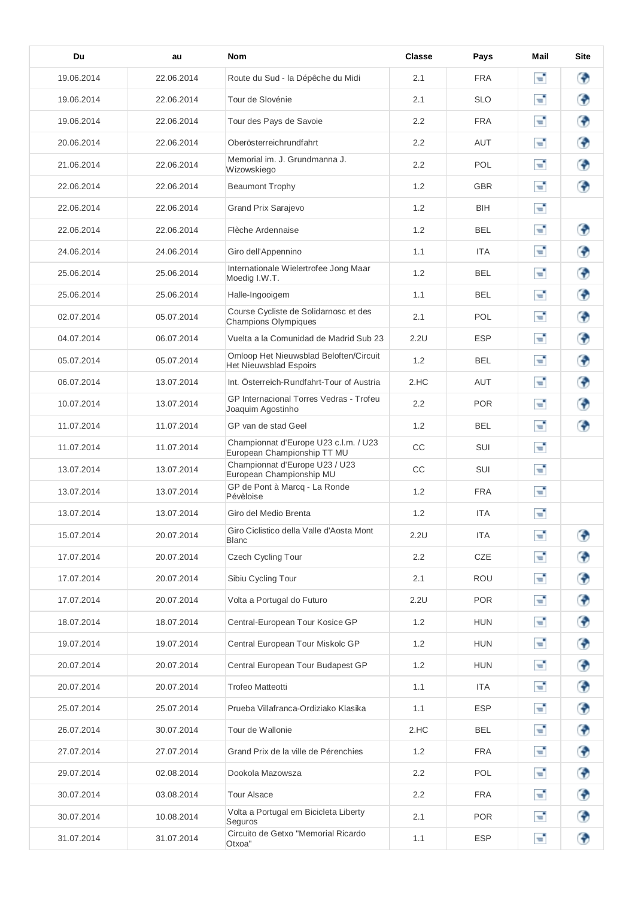| Du         | au         | <b>Nom</b>                                                              | <b>Classe</b>    | Pays       | Mail | <b>Site</b> |
|------------|------------|-------------------------------------------------------------------------|------------------|------------|------|-------------|
| 19.06.2014 | 22.06.2014 | Route du Sud - la Dépêche du Midi                                       | 2.1              | FRA        | ď,   | ⊕           |
| 19.06.2014 | 22.06.2014 | Tour de Slovénie                                                        | 2.1              | <b>SLO</b> | Т,   | ◈           |
| 19.06.2014 | 22.06.2014 | Tour des Pays de Savoie                                                 | 2.2              | <b>FRA</b> | т,   | ⊕           |
| 20.06.2014 | 22.06.2014 | Oberösterreichrundfahrt                                                 | 2.2              | <b>AUT</b> | Т,   | ⊕           |
| 21.06.2014 | 22.06.2014 | Memorial im. J. Grundmanna J.<br>Wizowskiego                            | 2.2              | POL        | т,   | ⊕           |
| 22.06.2014 | 22.06.2014 | <b>Beaumont Trophy</b>                                                  | 1.2              | <b>GBR</b> | т,   | ⊕           |
| 22.06.2014 | 22.06.2014 | <b>Grand Prix Sarajevo</b>                                              | 1.2              | <b>BIH</b> | Г.   |             |
| 22.06.2014 | 22.06.2014 | Flèche Ardennaise                                                       | 1.2              | <b>BEL</b> | Т,   | ◈           |
| 24.06.2014 | 24.06.2014 | Giro dell'Appennino                                                     | 1.1              | <b>ITA</b> | Т,   | ⊕           |
| 25.06.2014 | 25.06.2014 | Internationale Wielertrofee Jong Maar<br>Moedig I.W.T.                  | 1.2              | <b>BEL</b> | Т,   | ⊕           |
| 25.06.2014 | 25.06.2014 | Halle-Ingooigem                                                         | 1.1              | <b>BEL</b> | E,   | ⊕           |
| 02.07.2014 | 05.07.2014 | Course Cycliste de Solidarnosc et des<br><b>Champions Olympiques</b>    | 2.1              | POL.       | т,   | ⊕           |
| 04.07.2014 | 06.07.2014 | Vuelta a la Comunidad de Madrid Sub 23                                  | 2.2U             | <b>ESP</b> | Ŧ,   | ⊕           |
| 05.07.2014 | 05.07.2014 | Omloop Het Nieuwsblad Beloften/Circuit<br><b>Het Nieuwsblad Espoirs</b> | 1.2              | BEL        | Т,   | ⊕           |
| 06.07.2014 | 13.07.2014 | Int. Österreich-Rundfahrt-Tour of Austria                               | 2.HC             | <b>AUT</b> | F.   | ⊕           |
| 10.07.2014 | 13.07.2014 | GP Internacional Torres Vedras - Trofeu<br>Joaquim Agostinho            | $2.2\phantom{0}$ | <b>POR</b> | E,   | ⊕           |
| 11.07.2014 | 11.07.2014 | GP van de stad Geel                                                     | 1.2              | <b>BEL</b> | E,   | ⊕           |
| 11.07.2014 | 11.07.2014 | Championnat d'Europe U23 c.l.m. / U23<br>European Championship TT MU    | CC               | SUI        | F.   |             |
| 13.07.2014 | 13.07.2014 | Championnat d'Europe U23 / U23<br>European Championship MU              | CC               | SUI        | F.   |             |
| 13.07.2014 | 13.07.2014 | GP de Pont à Marcq - La Ronde<br>Pévèloise                              | 1.2              | <b>FRA</b> | Г,   |             |
| 13.07.2014 | 13.07.2014 | Giro del Medio Brenta                                                   | 1.2              | <b>ITA</b> | Т,   |             |
| 15.07.2014 | 20.07.2014 | Giro Ciclistico della Valle d'Aosta Mont<br><b>Blanc</b>                | 2.2U             | <b>ITA</b> | F.   | ⊕           |
| 17.07.2014 | 20.07.2014 | Czech Cycling Tour                                                      | 2.2              | CZE        | F.   | ♦           |
| 17.07.2014 | 20.07.2014 | Sibiu Cycling Tour                                                      | 2.1              | <b>ROU</b> | F.   | ♦           |
| 17.07.2014 | 20.07.2014 | Volta a Portugal do Futuro                                              | 2.2U             | <b>POR</b> | Г.   | ♦           |
| 18.07.2014 | 18.07.2014 | Central-European Tour Kosice GP                                         | 1.2              | <b>HUN</b> | Г.   | ♦           |
| 19.07.2014 | 19.07.2014 | Central European Tour Miskolc GP                                        | 1.2              | <b>HUN</b> | F.   | ⊕           |
| 20.07.2014 | 20.07.2014 | Central European Tour Budapest GP                                       | 1.2              | <b>HUN</b> | Г.   | ♦           |
| 20.07.2014 | 20.07.2014 | <b>Trofeo Matteotti</b>                                                 | 1.1              | ITA        | Г.   | ♦           |
| 25.07.2014 | 25.07.2014 | Prueba Villafranca-Ordiziako Klasika                                    | 1.1              | <b>ESP</b> | Г.   | ♦           |
| 26.07.2014 | 30.07.2014 | Tour de Wallonie                                                        | 2.HC             | BEL        | Г.   | ♦           |
| 27.07.2014 | 27.07.2014 | Grand Prix de la ville de Pérenchies                                    | 1.2              | FRA        | F.   | ♦           |
| 29.07.2014 | 02.08.2014 | Dookola Mazowsza                                                        | 2.2              | <b>POL</b> | Г.   | ♦           |
| 30.07.2014 | 03.08.2014 | Tour Alsace                                                             | $2.2\phantom{0}$ | FRA        | E,   | ♦           |
| 30.07.2014 | 10.08.2014 | Volta a Portugal em Bicicleta Liberty<br>Seguros                        | 2.1              | POR        | F.   | ♦           |
| 31.07.2014 | 31.07.2014 | Circuito de Getxo "Memorial Ricardo<br>Otxoa"                           | 1.1              | <b>ESP</b> | F.   | ◈           |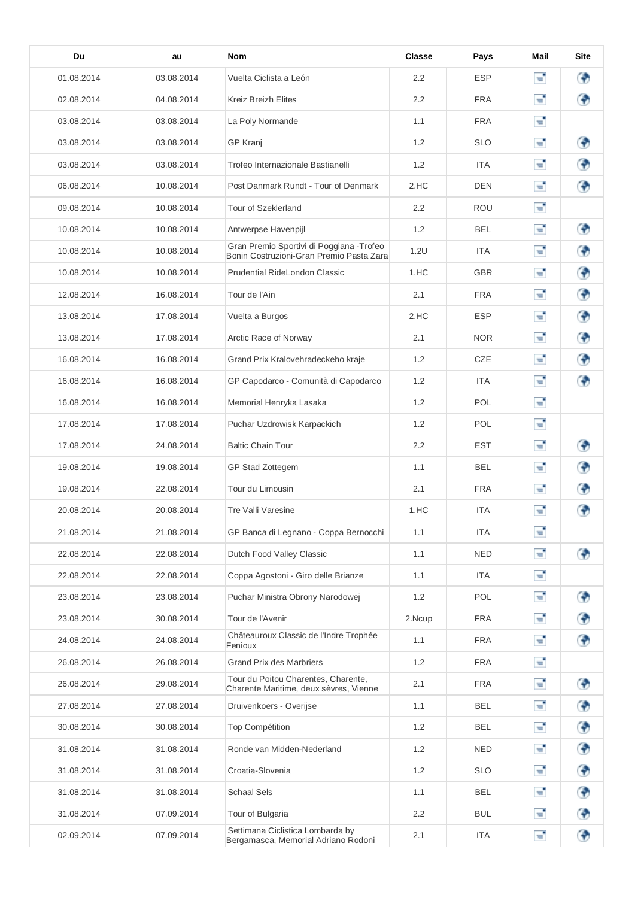| Du         | au         | <b>Nom</b>                                                                            | <b>Classe</b>    | Pays       | Mail | <b>Site</b> |
|------------|------------|---------------------------------------------------------------------------------------|------------------|------------|------|-------------|
| 01.08.2014 | 03.08.2014 | Vuelta Ciclista a León                                                                | 2.2              | <b>ESP</b> | ď,   | ⊕           |
| 02.08.2014 | 04.08.2014 | <b>Kreiz Breizh Elites</b>                                                            | 2.2              | <b>FRA</b> | е    | ⊕           |
| 03.08.2014 | 03.08.2014 | La Poly Normande                                                                      | 1.1              | FRA        | Ŧ,   |             |
| 03.08.2014 | 03.08.2014 | <b>GP Kranj</b>                                                                       | 1.2              | <b>SLO</b> | Т,   | ⊕           |
| 03.08.2014 | 03.08.2014 | Trofeo Internazionale Bastianelli                                                     | 1.2              | <b>ITA</b> | Т,   | ⊕           |
| 06.08.2014 | 10.08.2014 | Post Danmark Rundt - Tour of Denmark                                                  | 2.HC             | <b>DEN</b> | т,   | ◈           |
| 09.08.2014 | 10.08.2014 | Tour of Szeklerland                                                                   | 2.2              | ROU        | Т,   |             |
| 10.08.2014 | 10.08.2014 | Antwerpse Havenpijl                                                                   | 1.2              | <b>BEL</b> | Т,   | ⊕           |
| 10.08.2014 | 10.08.2014 | Gran Premio Sportivi di Poggiana - Trofeo<br>Bonin Costruzioni-Gran Premio Pasta Zara | 1.2U             | <b>ITA</b> | E,   | ⊕           |
| 10.08.2014 | 10.08.2014 | Prudential RideLondon Classic                                                         | 1.HC             | <b>GBR</b> | Т,   | ⊕           |
| 12.08.2014 | 16.08.2014 | Tour de l'Ain                                                                         | 2.1              | <b>FRA</b> | Г.   | ⊕           |
| 13.08.2014 | 17.08.2014 | Vuelta a Burgos                                                                       | 2.HC             | <b>ESP</b> | E,   | ⊕           |
| 13.08.2014 | 17.08.2014 | Arctic Race of Norway                                                                 | 2.1              | <b>NOR</b> | Т,   | ⊕           |
| 16.08.2014 | 16.08.2014 | Grand Prix Kralovehradeckeho kraje                                                    | 1.2              | CZE        | Т,   | ₩           |
| 16.08.2014 | 16.08.2014 | GP Capodarco - Comunità di Capodarco                                                  | 1.2              | ITA        | E,   | ⊕           |
| 16.08.2014 | 16.08.2014 | Memorial Henryka Lasaka                                                               | 1.2              | <b>POL</b> | Г.   |             |
| 17.08.2014 | 17.08.2014 | Puchar Uzdrowisk Karpackich                                                           | 1.2              | POL.       | Т,   |             |
| 17.08.2014 | 24.08.2014 | <b>Baltic Chain Tour</b>                                                              | 2.2              | <b>EST</b> | E,   | ⊕           |
| 19.08.2014 | 19.08.2014 | GP Stad Zottegem                                                                      | 1.1              | <b>BEL</b> | F.   | ⊕           |
| 19.08.2014 | 22.08.2014 | Tour du Limousin                                                                      | 2.1              | FRA        | E,   | Э           |
| 20.08.2014 | 20.08.2014 | Tre Valli Varesine                                                                    | 1.HC             | <b>ITA</b> | ÷,   | Ф           |
| 21.08.2014 | 21.08.2014 | GP Banca di Legnano - Coppa Bernocchi                                                 | 1.1              | <b>ITA</b> | е    |             |
| 22.08.2014 | 22.08.2014 | Dutch Food Valley Classic                                                             | 1.1              | <b>NED</b> | Т,   | ⊕           |
| 22.08.2014 | 22.08.2014 | Coppa Agostoni - Giro delle Brianze                                                   | 1.1              | ITA        | Г.   |             |
| 23.08.2014 | 23.08.2014 | Puchar Ministra Obrony Narodowej                                                      | 1.2              | POL        | F.   | ♦           |
| 23.08.2014 | 30.08.2014 | Tour de l'Avenir                                                                      | 2.Ncup           | <b>FRA</b> | Г.   | ◈           |
| 24.08.2014 | 24.08.2014 | Châteauroux Classic de l'Indre Trophée<br>Fenioux                                     | 1.1              | <b>FRA</b> | Г.   | ⊕           |
| 26.08.2014 | 26.08.2014 | <b>Grand Prix des Marbriers</b>                                                       | 1.2              | FRA        | е,   |             |
| 26.08.2014 | 29.08.2014 | Tour du Poitou Charentes, Charente,<br>Charente Maritime, deux sèvres, Vienne         | 2.1              | FRA        | Г.   | ⊕           |
| 27.08.2014 | 27.08.2014 | Druivenkoers - Overijse                                                               | 1.1              | BEL        | Т,   | ♦           |
| 30.08.2014 | 30.08.2014 | <b>Top Compétition</b>                                                                | 1.2              | <b>BEL</b> | Г,   | ♦           |
| 31.08.2014 | 31.08.2014 | Ronde van Midden-Nederland                                                            | 1.2              | <b>NED</b> | е,   | ⊕           |
| 31.08.2014 | 31.08.2014 | Croatia-Slovenia                                                                      | 1.2              | <b>SLO</b> | Г.   | ♦           |
| 31.08.2014 | 31.08.2014 | <b>Schaal Sels</b>                                                                    | 1.1              | <b>BEL</b> | Г.   | ♦           |
| 31.08.2014 | 07.09.2014 | Tour of Bulgaria                                                                      | $2.2\phantom{0}$ | <b>BUL</b> | F.   | ⊕           |
| 02.09.2014 | 07.09.2014 | Settimana Ciclistica Lombarda by<br>Bergamasca, Memorial Adriano Rodoni               | 2.1              | <b>ITA</b> | F.   | ♦           |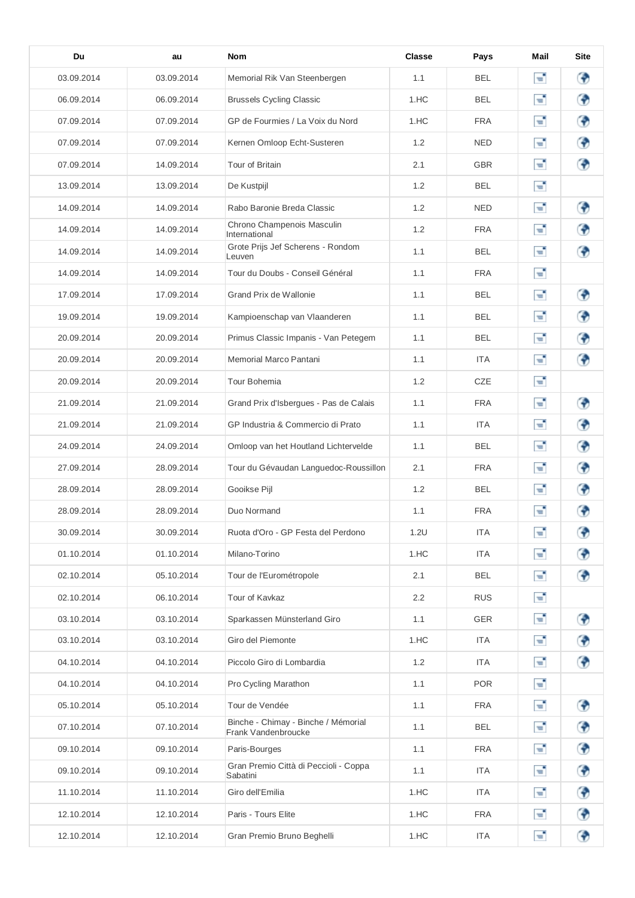| Du         | au         | <b>Nom</b>                                                 | Classe | Pays       | Mail | <b>Site</b> |
|------------|------------|------------------------------------------------------------|--------|------------|------|-------------|
| 03.09.2014 | 03.09.2014 | Memorial Rik Van Steenbergen                               | 1.1    | BEL        | ď,   | ⊕           |
| 06.09.2014 | 06.09.2014 | <b>Brussels Cycling Classic</b>                            | 1.HC   | <b>BEL</b> | Т,   | ◈           |
| 07.09.2014 | 07.09.2014 | GP de Fourmies / La Voix du Nord                           | 1.HC   | <b>FRA</b> | F.   | ⊕           |
| 07.09.2014 | 07.09.2014 | Kernen Omloop Echt-Susteren                                | 1.2    | <b>NED</b> | E,   | ⊕           |
| 07.09.2014 | 14.09.2014 | Tour of Britain                                            | 2.1    | <b>GBR</b> | Т,   | ⊕           |
| 13.09.2014 | 13.09.2014 | De Kustpijl                                                | 1.2    | <b>BEL</b> | Т,   |             |
| 14.09.2014 | 14.09.2014 | Rabo Baronie Breda Classic                                 | 1.2    | <b>NED</b> | Т,   | ⊕           |
| 14.09.2014 | 14.09.2014 | Chrono Champenois Masculin<br>International                | 1.2    | <b>FRA</b> | Т,   | ⊕           |
| 14.09.2014 | 14.09.2014 | Grote Prijs Jef Scherens - Rondom<br>Leuven                | 1.1    | <b>BEL</b> | F.   | ◈           |
| 14.09.2014 | 14.09.2014 | Tour du Doubs - Conseil Général                            | 1.1    | <b>FRA</b> | Т,   |             |
| 17.09.2014 | 17.09.2014 | Grand Prix de Wallonie                                     | 1.1    | <b>BEL</b> | E,   | ⊕           |
| 19.09.2014 | 19.09.2014 | Kampioenschap van Vlaanderen                               | 1.1    | <b>BEL</b> | Т,   | ⊕           |
| 20.09.2014 | 20.09.2014 | Primus Classic Impanis - Van Petegem                       | 1.1    | <b>BEL</b> | Т,   | ⊕           |
| 20.09.2014 | 20.09.2014 | Memorial Marco Pantani                                     | 1.1    | ITA        | Т,   | ⊕           |
| 20.09.2014 | 20.09.2014 | Tour Bohemia                                               | 1.2    | CZE        | Т,   |             |
| 21.09.2014 | 21.09.2014 | Grand Prix d'Isbergues - Pas de Calais                     | 1.1    | FRA        | Т,   | ⊕           |
| 21.09.2014 | 21.09.2014 | GP Industria & Commercio di Prato                          | 1.1    | ITA        | Т,   | ⊕           |
| 24.09.2014 | 24.09.2014 | Omloop van het Houtland Lichtervelde                       | 1.1    | <b>BEL</b> | Т,   | ⊕           |
| 27.09.2014 | 28.09.2014 | Tour du Gévaudan Languedoc-Roussillon                      | 2.1    | <b>FRA</b> | E,   | ⊕           |
| 28.09.2014 | 28.09.2014 | Gooikse Pijl                                               | 1.2    | BEL        | Т,   | ₩           |
| 28.09.2014 | 28.09.2014 | Duo Normand                                                | 1.1    | FRA        | F.   | ₩           |
| 30.09.2014 | 30.09.2014 | Ruota d'Oro - GP Festa del Perdono                         | 1.2U   | <b>ITA</b> | Г.   | ⊕           |
| 01.10.2014 | 01.10.2014 | Milano-Torino                                              | 1.HC   | <b>ITA</b> | E,   | ◈           |
| 02.10.2014 | 05.10.2014 | Tour de l'Eurométropole                                    | 2.1    | <b>BEL</b> | Г.   | ⊕           |
| 02.10.2014 | 06.10.2014 | Tour of Kavkaz                                             | 2.2    | <b>RUS</b> | F.   |             |
| 03.10.2014 | 03.10.2014 | Sparkassen Münsterland Giro                                | 1.1    | <b>GER</b> | E,   | ⊕           |
| 03.10.2014 | 03.10.2014 | Giro del Piemonte                                          | 1.HC   | <b>ITA</b> | E,   | ♦           |
| 04.10.2014 | 04.10.2014 | Piccolo Giro di Lombardia                                  | 1.2    | ITA        | F.   | ♦           |
| 04.10.2014 | 04.10.2014 | Pro Cycling Marathon                                       | 1.1    | <b>POR</b> | Г.   |             |
| 05.10.2014 | 05.10.2014 | Tour de Vendée                                             | 1.1    | <b>FRA</b> | E,   | ♦           |
| 07.10.2014 | 07.10.2014 | Binche - Chimay - Binche / Mémorial<br>Frank Vandenbroucke | 1.1    | <b>BEL</b> | Г.   | ♦           |
| 09.10.2014 | 09.10.2014 | Paris-Bourges                                              | 1.1    | <b>FRA</b> | Т,   | ♦           |
| 09.10.2014 | 09.10.2014 | Gran Premio Città di Peccioli - Coppa<br>Sabatini          | 1.1    | ITA        | F.   | ⊕           |
| 11.10.2014 | 11.10.2014 | Giro dell'Emilia                                           | 1.HC   | ITA        | Г,   | ♦           |
| 12.10.2014 | 12.10.2014 | Paris - Tours Elite                                        | 1.HC   | FRA        | Г.   | ♦           |
| 12.10.2014 | 12.10.2014 | Gran Premio Bruno Beghelli                                 | 1.HC   | <b>ITA</b> | F.   | ⊕           |